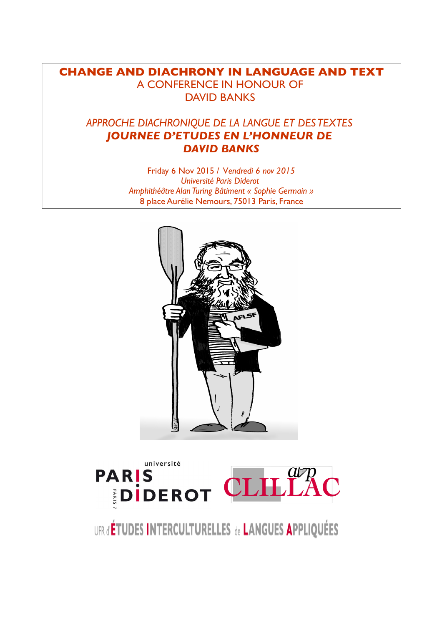# **CHANGE AND DIACHRONY IN LANGUAGE AND TEXT** A CONFERENCE IN HONOUR OF DAVID BANKS

# *APPROCHE DIACHRONIQUE DE LA LANGUE ET DES TEXTES JOURNEE D'ETUDES EN L'HONNEUR DE DAVID BANKS*

Friday 6 Nov 2015 / V*endredi 6 nov 2015 Université Paris Diderot Amphithéâtre Alan Turing Bâtiment « Sophie Germain »* 8 place Aurélie Nemours, 75013 Paris, France





UFR d'ÉTUDES INTERCULTURELLES de LANGUES APPLIQUÉES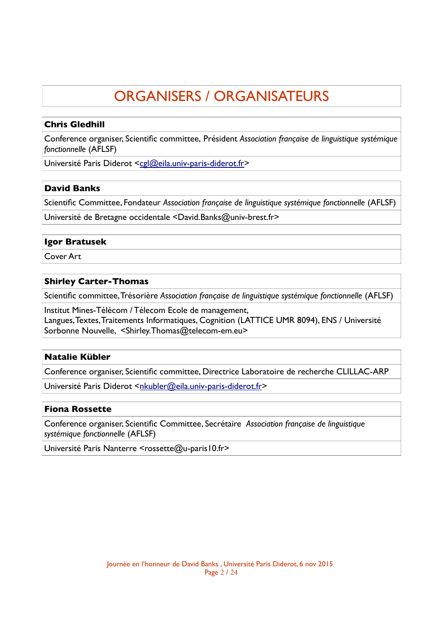# ORGANISERS / ORGANISATEURS

# **Chris Gledhill**

Conference organiser, Scientifc committee, Président *Association française de linguistique systémique fonctionnelle* (AFLSF)

Université Paris Diderot [<cgl@eila.univ-paris-diderot.fr>](mailto:cgl@eila.univ-paris-diderot.fr)

# **David Banks**

Scientifc Committee, Fondateur *Association française de linguistique systémique fonctionnelle* (AFLSF)

Université de Bretagne occidentale <David.Banks@univ-brest.fr>

# **Igor Bratusek**

Cover Art

# **Shirley Carter-Thomas**

Scientifc committee, Trésorière *Association française de linguistique systémique fonctionnelle* (AFLSF)

Institut Mines-Télécom / Télecom Ecole de management, Langues, Textes, Traitements Informatiques, Cognition (LATTICE UMR 8094), ENS / Université Sorbonne Nouvelle, <Shirley.Thomas@telecom-em.eu>

# **Natalie Kübler**

Conference organiser, Scientifc committee, Directrice Laboratoire de recherche CLILLAC-ARP

Université Paris Diderot [<nkubler@eila.univ-paris-diderot.fr>](mailto:nkubler@eila.univ-paris-diderot.fr)

# **Fiona Rossette**

Conference organiser, Scientifc Committee, Secrétaire *Association française de linguistique systémique fonctionnelle* (AFLSF)

Université Paris Nanterre <rossette@u-paris10.fr>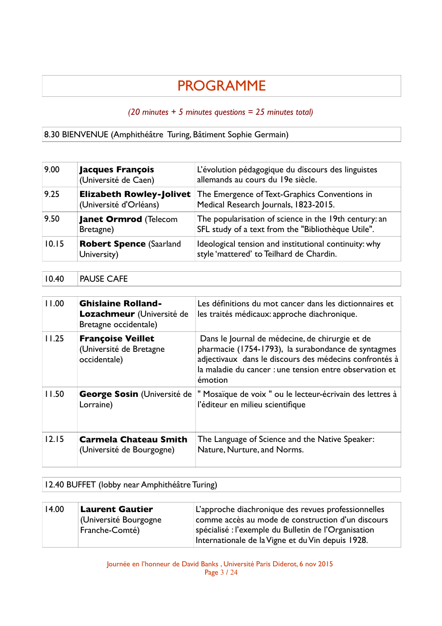# PROGRAMME

# *(20 minutes + 5 minutes questions = 25 minutes total)*

# 8.30 BIENVENUE (Amphithéâtre Turing, Bâtiment Sophie Germain)

| 9.00  | <b>Jacques François</b><br>(Université de Caen)           | L'évolution pédagogique du discours des linguistes<br>allemands au cours du 19e siècle.                     |
|-------|-----------------------------------------------------------|-------------------------------------------------------------------------------------------------------------|
| 9.25  | <b>Elizabeth Rowley-Jolivet</b><br>(Université d'Orléans) | The Emergence of Text-Graphics Conventions in<br>Medical Research Journals, 1823-2015.                      |
| 9.50  | <b>Janet Ormrod (Telecom</b><br>Bretagne)                 | The popularisation of science in the 19th century: an<br>SFL study of a text from the "Bibliothèque Utile". |
| 10.15 | <b>Robert Spence (Saarland</b><br>University)             | Ideological tension and institutional continuity: why<br>style 'mattered' to Teilhard de Chardin.           |

# 10.40 PAUSE CAFE

| 11.00   | <b>Ghislaine Rolland-</b><br>Lozachmeur (Université de<br>Bretagne occidentale) | Les définitions du mot cancer dans les dictionnaires et<br>les traités médicaux: approche diachronique.                                                                                                                                |
|---------|---------------------------------------------------------------------------------|----------------------------------------------------------------------------------------------------------------------------------------------------------------------------------------------------------------------------------------|
| 11.25   | <b>Françoise Veillet</b><br>(Université de Bretagne<br>occidentale)             | Dans le Journal de médecine, de chirurgie et de<br>pharmacie (1754-1793), la surabondance de syntagmes<br>adjectivaux dans le discours des médecins confrontés à<br>la maladie du cancer : une tension entre observation et<br>émotion |
| 11.50   | <b>George Sosin (Université de</b><br>Lorraine)                                 | " Mosaïque de voix " ou le lecteur-écrivain des lettres à<br>l'éditeur en milieu scientifique                                                                                                                                          |
| $12.15$ | Carmela Chateau Smith<br>(Université de Bourgogne)                              | The Language of Science and the Native Speaker:<br>Nature, Nurture, and Norms.                                                                                                                                                         |

# 12.40 BUFFET (lobby near Amphithéâtre Turing)

| 14.00 | <b>Laurent Gautier</b> | L'approche diachronique des revues professionnelles  |
|-------|------------------------|------------------------------------------------------|
|       | (Université Bourgogne  | comme accès au mode de construction d'un discours    |
|       | Franche-Comté)         | spécialisé : l'exemple du Bulletin de l'Organisation |
|       |                        | Internationale de la Vigne et du Vin depuis 1928.    |

Journée en l'honneur de David Banks , Université Paris Diderot, 6 nov 2015 Page 3 / 24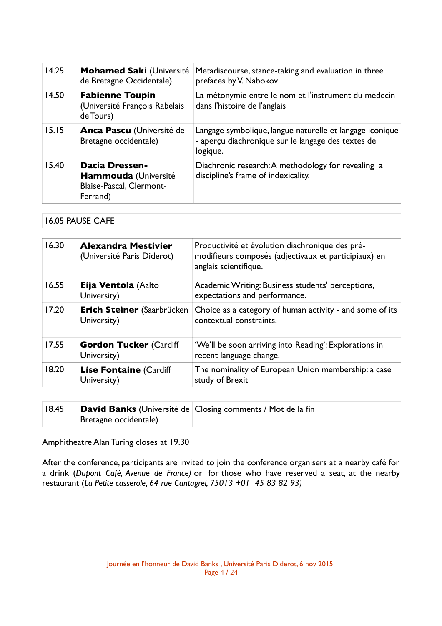| 14.25 | <b>Mohamed Saki (Université</b><br>de Bretagne Occidentale)                                  | Metadiscourse, stance-taking and evaluation in three<br>prefaces by V. Nabokov                                             |
|-------|----------------------------------------------------------------------------------------------|----------------------------------------------------------------------------------------------------------------------------|
| 14.50 | <b>Fabienne Toupin</b><br>(Université François Rabelais<br>de Tours)                         | La métonymie entre le nom et l'instrument du médecin<br>dans l'histoire de l'anglais                                       |
| 15.15 | <b>Anca Pascu (Université de</b><br>Bretagne occidentale)                                    | Langage symbolique, langue naturelle et langage iconique<br>- aperçu diachronique sur le langage des textes de<br>logique. |
| 15.40 | <b>Dacia Dressen-</b><br><b>Hammouda</b> (Université<br>Blaise-Pascal, Clermont-<br>Ferrand) | Diachronic research: A methodology for revealing a<br>discipline's frame of indexicality.                                  |

# 16.05 PAUSE CAFE

| 16.30 | <b>Alexandra Mestivier</b><br>(Université Paris Diderot) | Productivité et évolution diachronique des pré-<br>modifieurs composés (adjectivaux et participiaux) en<br>anglais scientifique. |
|-------|----------------------------------------------------------|----------------------------------------------------------------------------------------------------------------------------------|
| 16.55 | Eija Ventola (Aalto<br>University)                       | Academic Writing: Business students' perceptions,<br>expectations and performance.                                               |
| 17.20 | <b>Erich Steiner</b> (Saarbrücken<br>University)         | Choice as a category of human activity - and some of its<br>contextual constraints.                                              |
| 17.55 | <b>Gordon Tucker (Cardiff</b><br>University)             | 'We'll be soon arriving into Reading': Explorations in<br>recent language change.                                                |
| 18.20 | <b>Lise Fontaine (Cardiff</b><br>University)             | The nominality of European Union membership: a case<br>study of Brexit                                                           |

| 18.45 |                       | <b>David Banks</b> (Université de Closing comments / Mot de la fin |
|-------|-----------------------|--------------------------------------------------------------------|
|       | Bretagne occidentale) |                                                                    |

Amphitheatre Alan Turing closes at 19.30

After the conference, participants are invited to join the conference organisers at a nearby café for a drink (*Dupont Café, Avenue de France)* or for those who have reserved a seat, at the nearby restaurant (*La Petite casserole, 64 rue Cantagrel, 75013 +01 45 83 82 93)*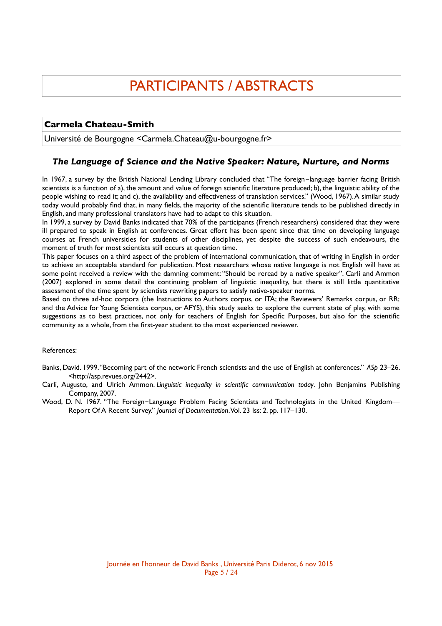# PARTICIPANTS / ABSTRACTS

# **Carmela Chateau-Smith**

Université de Bourgogne <Carmela.Chateau@u-bourgogne.fr>

# *The Language of Science and the Native Speaker: Nature, Nurture, and Norms*

In 1967, a survey by the British National Lending Library concluded that "The foreign-language barrier facing British scientists is a function of a), the amount and value of foreign scientifc literature produced; b), the linguistic ability of the people wishing to read it; and c), the availability and effectiveness of translation services." (Wood, 1967). A similar study today would probably fnd that, in many felds, the majority of the scientifc literature tends to be published directly in English, and many professional translators have had to adapt to this situation.

In 1999, a survey by David Banks indicated that 70% of the participants (French researchers) considered that they were ill prepared to speak in English at conferences. Great effort has been spent since that time on developing language courses at French universities for students of other disciplines, yet despite the success of such endeavours, the moment of truth for most scientists still occurs at question time.

This paper focuses on a third aspect of the problem of international communication, that of writing in English in order to achieve an acceptable standard for publication. Most researchers whose native language is not English will have at some point received a review with the damning comment: "Should be reread by a native speaker". Carli and Ammon (2007) explored in some detail the continuing problem of linguistic inequality, but there is still little quantitative assessment of the time spent by scientists rewriting papers to satisfy native-speaker norms.

Based on three ad-hoc corpora (the Instructions to Authors corpus, or ITA; the Reviewers' Remarks corpus, or RR; and the Advice for Young Scientists corpus, or AFYS), this study seeks to explore the current state of play, with some suggestions as to best practices, not only for teachers of English for Specifc Purposes, but also for the scientifc community as a whole, from the frst-year student to the most experienced reviewer.

#### References:

- Banks, David. 1999. "Becoming part of the network: French scientists and the use of English at conferences." *ASp* 23–26. <http://asp.revues.org/2442>.
- Carli, Augusto, and Ulrich Ammon. *Linguistic inequality in scientifc communication today*. John Benjamins Publishing Company, 2007.
- Wood, D. N. 1967. "The Foreign-Language Problem Facing Scientists and Technologists in the United Kingdom— Report Of A Recent Survey." *Journal of Documentation*. Vol. 23 Iss: 2. pp. 117–130.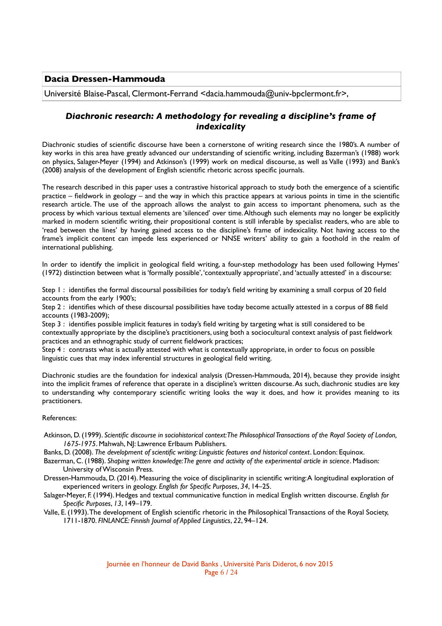## **Dacia Dressen-Hammouda**

Université Blaise-Pascal, Clermont-Ferrand <dacia.hammouda@univ-bpclermont.fr>,

# *Diachronic research: A methodology for revealing a discipline's frame of indexicality*

Diachronic studies of scientifc discourse have been a cornerstone of writing research since the 1980's. A number of key works in this area have greatly advanced our understanding of scientifc writing, including Bazerman's (1988) work on physics, Salager-Meyer (1994) and Atkinson's (1999) work on medical discourse, as well as Valle (1993) and Bank's (2008) analysis of the development of English scientifc rhetoric across specifc journals.

The research described in this paper uses a contrastive historical approach to study both the emergence of a scientifc practice – feldwork in geology – and the way in which this practice appears at various points in time in the scientifc research article. The use of the approach allows the analyst to gain access to important phenomena, such as the process by which various textual elements are 'silenced' over time. Although such elements may no longer be explicitly marked in modern scientifc writing, their propositional content is still inferable by specialist readers, who are able to 'read between the lines' by having gained access to the discipline's frame of indexicality. Not having access to the frame's implicit content can impede less experienced or NNSE writers' ability to gain a foothold in the realm of international publishing.

In order to identify the implicit in geological feld writing, a four-step methodology has been used following Hymes' (1972) distinction between what is 'formally possible', 'contextually appropriate', and 'actually attested' in a discourse:

Step 1 : identifes the formal discoursal possibilities for today's feld writing by examining a small corpus of 20 feld accounts from the early 1900's;

Step 2 : identifes which of these discoursal possibilities have today become actually attested in a corpus of 88 feld accounts (1983-2009);

Step 3 : identifes possible implicit features in today's feld writing by targeting what is still considered to be contextually appropriate by the discipline's practitioners, using both a sociocultural context analysis of past feldwork practices and an ethnographic study of current feldwork practices;

Step 4 : contrasts what is actually attested with what is contextually appropriate, in order to focus on possible linguistic cues that may index inferential structures in geological feld writing.

Diachronic studies are the foundation for indexical analysis (Dressen-Hammouda, 2014), because they provide insight into the implicit frames of reference that operate in a discipline's written discourse. As such, diachronic studies are key to understanding why contemporary scientifc writing looks the way it does, and how it provides meaning to its practitioners.

#### References:

- Atkinson, D. (1999). *Scientifc discourse in sociohistorical context: The Philosophical Transactions of the Royal Society of London, 1675-1975*. Mahwah, NJ: Lawrence Erlbaum Publishers.
- Banks, D. (2008). *The development of scientifc writing: Linguistic features and historical context*. London: Equinox.
- Bazerman, C. (1988). *Shaping written knowledge: The genre and activity of the experimental article in science*. Madison: University of Wisconsin Press.
- Dressen-Hammouda, D. (2014). Measuring the voice of disciplinarity in scientifc writing: A longitudinal exploration of experienced writers in geology. *English for Specifc Purposes*, *34*, 14–25.
- Salager-Meyer, F. (1994). Hedges and textual communicative function in medical English written discourse. *English for Specifc Purposes*, *13*, 149–179.
- Valle, E. (1993). The development of English scientifc rhetoric in the Philosophical Transactions of the Royal Society, 1711-1870. *FINLANCE: Finnish Journal of Applied Linguistics*, *22*, 94–124.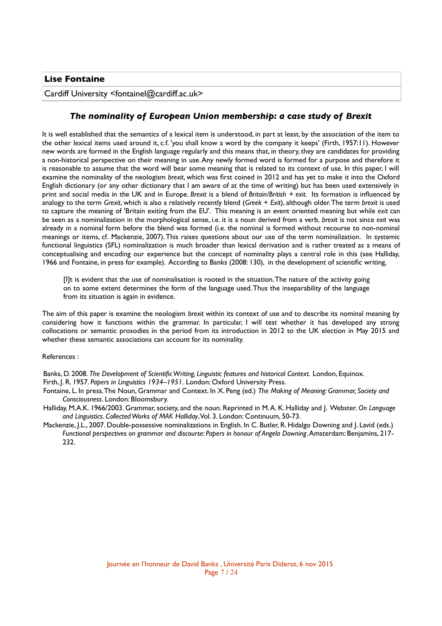Cardiff University <fontainel@cardiff.ac.uk>

# *The nominality of European Union membership: a case study of Brexit*

It is well established that the semantics of a lexical item is understood, in part at least, by the association of the item to the other lexical items used around it, c.f. 'you shall know a word by the company it keeps' (Firth, 1957:11). However new words are formed in the English language regularly and this means that, in theory, they are candidates for providing a non-historical perspective on their meaning in use. Any newly formed word is formed for a purpose and therefore it is reasonable to assume that the word will bear some meaning that is related to its context of use. In this paper, I will examine the nominality of the neologism *brexit*, which was frst coined in 2012 and has yet to make it into the Oxford English dictionary (or any other dictionary that I am aware of at the time of writing) but has been used extensively in print and social media in the UK and in Europe. *Brexit* is a blend of *Britain/British* + *exit*. Its formation is infuenced by analogy to the term *Grexit*, which is also a relatively recently blend (*Greek* + *Exit*), although older. The term *brexit* is used to capture the meaning of 'Britain exiting from the EU'. This meaning is an event oriented meaning but while *exit* can be seen as a nominalization in the morphological sense, i.e. it is a noun derived from a verb, *brexit* is not since *exit* was already in a nominal form before the blend was formed (i.e. the nominal is formed without recourse to non-nominal meanings or items, cf. Mackenzie, 2007). This raises questions about our use of the term nominalization. In systemic functional linguistics (SFL) nominalization is much broader than lexical derivation and is rather treated as a means of conceptualising and encoding our experience but the concept of nominality plays a central role in this (see Halliday, 1966 and Fontaine, in press for example). According to Banks (2008: 130), in the development of scientifc writing,

[I]t is evident that the use of nominalisation is rooted in the situation. The nature of the activity going on to some extent determines the form of the language used. Thus the inseparability of the language from its situation is again in evidence.

The aim of this paper is examine the neologism *brexit* within its context of use and to describe its nominal meaning by considering how it functions within the grammar. In particular, I will test whether it has developed any strong collocations or semantic prosodies in the period from its introduction in 2012 to the UK election in May 2015 and whether these semantic associations can account for its nominality.

#### References :

Banks, D. 2008. *The Development of Scientifc Writing, Linguistic features and historical Context.* London, Equinox.

- Firth, J. R. 1957. *Papers in Linguistics 1934–1951.* London: Oxford University Press.
- Fontaine, L. In press. The Noun, Grammar and Context. In X. Peng (ed.) *The Making of Meaning: Grammar, Society and Consciousness*. London: Bloomsbury.
- Halliday, M.A.K. 1966/2003. Grammar, society, and the noun. Reprinted in M. A. K. Halliday and J. Webster. *On Language and Linguistics. Collected Works of MAK Halliday*, Vol. 3. London: Continuum, 50-73.
- Mackenzie, J.L., 2007. Double-possessive nominalizations in English. In C. Butler, R. Hidalgo Downing and J. Lavid (eds.) *Functional perspectives on grammar and discourse: Papers in honour of Angela Downing*. Amsterdam: Benjamins, 217- 232.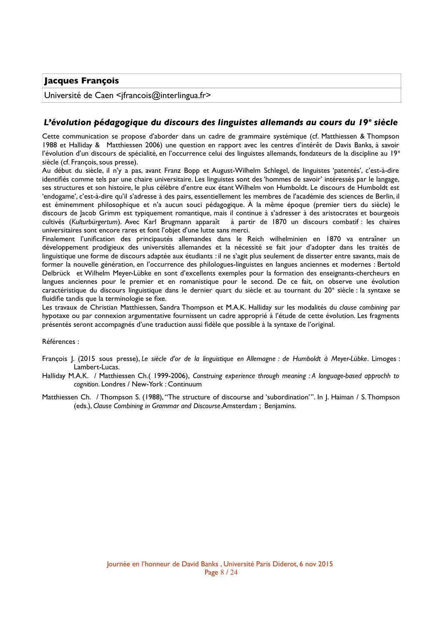# **Jacques François**

Université de Caen <ifrancois@interlingua.fr>

# *L'évolution pédagogique du discours des linguistes allemands au cours du 19<sup>e</sup> siècle*

Cette communication se propose d'aborder dans un cadre de grammaire systémique (cf. Matthiessen & Thompson 1988 et Halliday & Matthiessen 2006) une question en rapport avec les centres d'intérêt de Davis Banks, à savoir l'évolution d'un discours de spécialité, en l'occurrence celui des linguistes allemands, fondateurs de la discipline au 19<sup>e</sup> siècle (cf. François, sous presse).

Au début du siècle, il n'y a pas, avant Franz Bopp et August-Wilhelm Schlegel, de linguistes 'patentés', c'est-à-dire identifés comme tels par une chaire universitaire. Les linguistes sont des 'hommes de savoir' intéressés par le langage, ses structures et son histoire, le plus célèbre d'entre eux étant Wilhelm von Humboldt. Le discours de Humboldt est 'endogame', c'est-à-dire qu'il s'adresse à des pairs, essentiellement les membres de l'académie des sciences de Berlin, il est éminemment philosophique et n'a aucun souci pédagogique. À la même époque (premier tiers du siècle) le discours de Jacob Grimm est typiquement romantique, mais il continue à s'adresser à des aristocrates et bourgeois cultivés (*Kulturbürgertum*). Avec Karl Brugmann apparaît à partir de 1870 un discours combatif : les chaires universitaires sont encore rares et font l'objet d'une lutte sans merci.

Finalement l'unifcation des principautés allemandes dans le Reich wilhelminien en 1870 va entraîner un développement prodigieux des universités allemandes et la nécessité se fait jour d'adopter dans les traités de linguistique une forme de discours adaptée aux étudiants : il ne s'agit plus seulement de disserter entre savants, mais de former la nouvelle génération, en l'occurrence des philologues-linguistes en langues anciennes et modernes : Bertold Delbrück et Wilhelm Meyer-Lübke en sont d'excellents exemples pour la formation des enseignants-chercheurs en langues anciennes pour le premier et en romanistique pour le second. De ce fait, on observe une évolution caractéristique du discours linguistique dans le dernier quart du siècle et au tournant du 20<sup>e</sup> siècle : la syntaxe se fluidifie tandis que la terminologie se fixe.

Les travaux de Christian Matthiessen, Sandra Thompson et M.A.K. Halliday sur les modalités du *clause combining* par hypotaxe ou par connexion argumentative fournissent un cadre approprié à l'étude de cette évolution. Les fragments présentés seront accompagnés d'une traduction aussi fdèle que possible à la syntaxe de l'original.

Références :

- François J. (2015 sous presse), *Le siècle d'or de la linguistique en Allemagne : de Humboldt à Meyer-Lübke*. Limoges : Lambert-Lucas.
- Halliday M.A.K. / Matthiessen Ch.( 1999-2006), *Construing experience through meaning : A language-based approchh to cognition*. Londres / New-York : Continuum
- Matthiessen Ch. / Thompson S. (1988), "The structure of discourse and 'subordination'". In J. Haiman / S. Thompson (eds.), *Clause Combining in Grammar and Discourse*.Amsterdam ; Benjamins.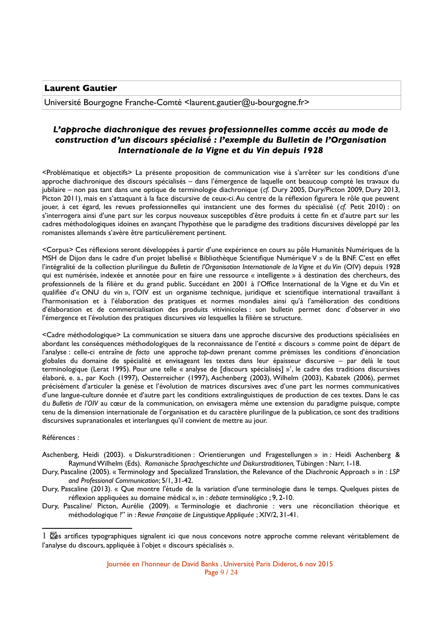**Laurent Gautier**

Université Bourgogne Franche-Comté <laurent.gautier@u-bourgogne.fr>

# *L'approche diachronique des revues professionnelles comme accès au mode de construction d'un discours spécialisé : l'exemple du Bulletin de l'Organisation Internationale de la Vigne et du Vin depuis 1928*

<Problématique et objectifs> La présente proposition de communication vise à s'arrêter sur les conditions d'une approche diachronique des discours spécialisés – dans l'émergence de laquelle ont beaucoup compté les travaux du jubilaire – non pas tant dans une optique de terminologie diachronique (*cf.* Dury 2005, Dury/Picton 2009, Dury 2013, Picton 2011), mais en s'attaquant à la face discursive de ceux-ci. Au centre de la réflexion figurera le rôle que peuvent jouer, à cet égard, les revues professionnelles qui instancient une des formes du spécialisé (*cf.* Petit 2010) : on s'interrogera ainsi d'une part sur les corpus nouveaux susceptibles d'être produits à cette fn et d'autre part sur les cadres méthodologiques idoines en avançant l'hypothèse que le paradigme des traditions discursives développé par les romanistes allemands s'avère être particulièrement pertinent.

<Corpus> Ces réfexions seront développées à partir d'une expérience en cours au pôle Humanités Numériques de la MSH de Dijon dans le cadre d'un projet labellisé « Bibliothèque Scientifque Numérique V » de la BNF. C'est en effet l'intégralité de la collection plurilingue du *Bulletin de l'Organisation Internationale de la Vigne et du Vin* (OIV) depuis 1928 qui est numérisée, indexée et annotée pour en faire une ressource « intelligente » à destination des chercheurs, des professionnels de la flière et du grand public. Succédant en 2001 à l'Offce International de la Vigne et du Vin et qualifiée d'« ONU du vin », l'OIV est un organisme technique, juridique et scientifique international travaillant à l'harmonisation et à l'élaboration des pratiques et normes mondiales ainsi qu'à l'amélioration des conditions d'élaboration et de commercialisation des produits vitivinicoles : son bulletin permet donc d'observer *in vivo* l'émergence et l'évolution des pratiques discursives *via* lesquelles la flière se structure.

<Cadre méthodologique> La communication se situera dans une approche discursive des productions spécialisées en abordant les conséquences méthodologiques de la reconnaissance de l'entité « discours » comme point de départ de l'analyse : celle-ci entraîne *de facto* une approche *top-down* prenant comme prémisses les conditions d'énonciation globales du domaine de spécialité et envisageant les textes dans leur épaisseur discursive – par delà le tout terminologique (Lerat [1](#page-8-0)995). Pour une telle « analyse de [discours spécialisés] »<sup>1</sup>, le cadre des traditions discursives élaboré, e. a., par Koch (1997), Oesterreicher (1997), Aschenberg (2003), Wilhelm (2003), Kabatek (2006), permet précisément d'articuler la genèse et l'évolution de matrices discursives avec d'une part les normes communicatives d'une langue-culture donnée et d'autre part les conditions extralinguistiques de production de ces textes. Dans le cas du *Bulletin de l'OIV* au cœur de la communication, on envisagera même une extension du paradigme puisque, compte tenu de la dimension internationale de l'organisation et du caractère plurilingue de la publication, ce sont des traditions discursives supranationales et interlangues qu'il convient de mettre au jour.

Références :

- Aschenberg, Heidi (2003). « Diskurstraditionen : Orientierungen und Fragestellungen » in : Heidi Aschenberg & Raymund Wilhelm (Eds). *Romanische Sprachgeschichte und Diskurstraditionen,* Tübingen : Narr, 1-18.
- Dury, Pascaline (2005). « Terminology and Specialized Translation, the Relevance of the Diachronic Approach » in : *LSP and Professional Communication*; 5/1, 31-42.
- Dury, Pascaline (2013). « Que montre l'étude de la variation d'une terminologie dans le temps. Quelques pistes de réfexion appliquées au domaine médical », in : *debate terminológico* ; 9, 2-10.
- Dury, Pascaline/ Picton, Aurélie (2009). « Terminologie et diachronie : vers une réconciliation théorique et méthodologique ?" in : *Revue Française de Linguistique Appliquée* ; XIV/2, 31-41.

<span id="page-8-0"></span><sup>1</sup>  $\boxtimes$ es artifices typographiques signalent ici que nous concevons notre approche comme relevant véritablement de l'analyse du discours, appliquée à l'objet « discours spécialisés ».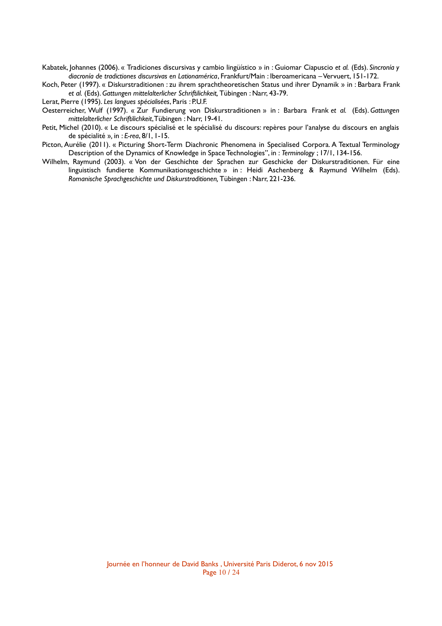Kabatek, Johannes (2006). « Tradiciones discursivas y cambio lingüístico » in : Guiomar Ciapuscio *et al.* (Eds). *Sincronía y diacronía de tradictiones discursivas en Lationamérica*, Frankfurt/Main : Iberoamericana – Vervuert, 151-172.

Koch, Peter (1997). « Diskurstraditionen : zu ihrem sprachtheoretischen Status und ihrer Dynamik » in : Barbara Frank *et al.* (Eds). *Gattungen mittelalterlicher Schriftilichkeit,* Tübingen : Narr, 43-79.

Lerat, Pierre (1995). *Les langues spécialisées*, Paris : P.U.F.

- Oesterreicher, Wulf (1997). « Zur Fundierung von Diskurstraditionen » in : Barbara Frank *et al.* (Eds). *Gattungen mittelalterlicher Schriftilichkeit*, Tübingen : Narr, 19-41.
- Petit, Michel (2010). « Le discours spécialisé et le spécialisé du discours: repères pour l'analyse du discours en anglais de spécialité »*,* in : *E-rea*, 8/1, 1-15.
- Picton, Aurélie (2011). « Picturing Short-Term Diachronic Phenomena in Specialised Corpora. A Textual Terminology Description of the Dynamics of Knowledge in Space Technologies", in : *Terminology* ; 17/1, 134-156.
- Wilhelm, Raymund (2003). « Von der Geschichte der Sprachen zur Geschicke der Diskurstraditionen. Für eine linguistisch fundierte Kommunikationsgeschichte » in : Heidi Aschenberg & Raymund Wilhelm (Eds). *Romanische Sprachgeschichte und Diskurstraditionen,* Tübingen : Narr, 221-236.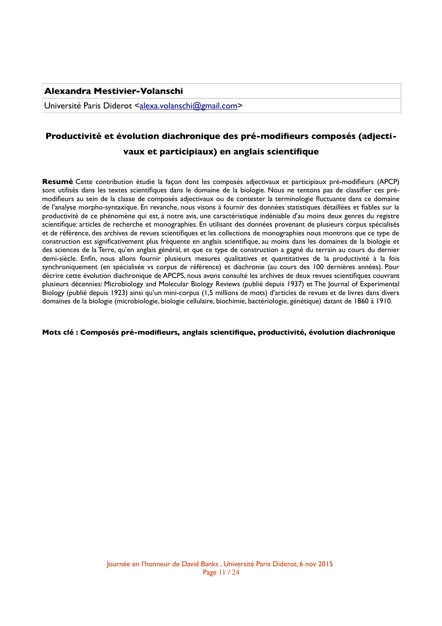## **Alexandra Mestivier-Volanschi**

Université Paris Diderot [<alexa.volanschi@gmail.com>](mailto:alexa.volanschi@gmail.com)

# **Productivité et évolution diachronique des pré-modifeurs composés (adjecti-**

## **vaux et participiaux) en anglais scientifque**

**Resumé** Cette contribution étudie la façon dont les composés adjectivaux et participiaux pré-modifeurs (APCP) sont utilisés dans les textes scientifques dans le domaine de la biologie. Nous ne tentons pas de classifer ces prémodifeurs au sein de la classe de composés adjectivaux ou de contester la terminologie fuctuante dans ce domaine de l'analyse morpho-syntaxique. En revanche, nous visons à fournir des données statistiques détaillées et fables sur la productivité de ce phénomène qui est, à notre avis, une caractéristique indéniable d'au moins deux genres du registre scientifque: articles de recherche et monographies. En utilisant des données provenant de plusieurs corpus spécialisés et de référence, des archives de revues scientifques et les collections de monographies nous montrons que ce type de construction est signifcativement plus fréquente en anglais scientifque, au moins dans les domaines de la biologie et des sciences de la Terre, qu'en anglais général, et que ce type de construction a gagné du terrain au cours du dernier demi-siècle. Enfn, nous allons fournir plusieurs mesures qualitatives et quantitatives de la productivité à la fois synchroniquement (en spécialisée vs corpus de référence) et diachronie (au cours des 100 dernières années). Pour décrire cette évolution diachronique de APCPS, nous avons consulté les archives de deux revues scientifques couvrant plusieurs décennies: Microbiology and Molecular Biology Reviews (publié depuis 1937) et The Journal of Experimental Biology (publié depuis 1923) ainsi qu'un mini-corpus (1,5 millions de mots) d'articles de revues et de livres dans divers domaines de la biologie (microbiologie, biologie cellulaire, biochimie, bactériologie, génétique) datant de 1860 à 1910.

#### **Mots clé : Composés pré-modifeurs, anglais scientifque, productivité, évolution diachronique**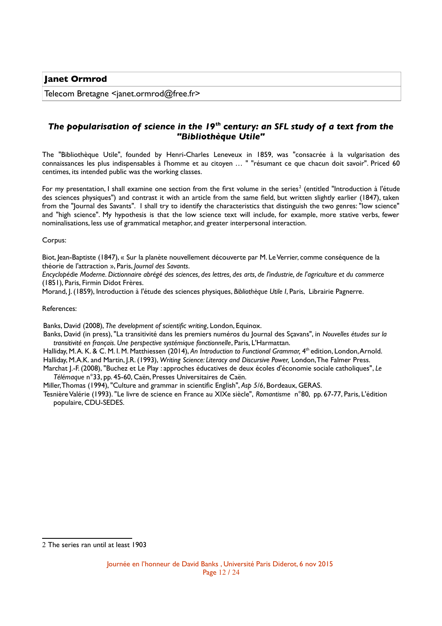Telecom Bretagne <janet.ormrod@free.fr>

# *The popularisation of science in the 19th century: an SFL study of a text from the "Bibliothèque Utile"*

The "Bibliothèque Utile", founded by Henri-Charles Leneveux in 1859, was "consacrée à la vulgarisation des connaissances les plus indispensables à l'homme et au citoyen … " "résumant ce que chacun doit savoir". Priced 60 centimes, its intended public was the working classes.

For my presentation, I shall examine one section from the first volume in the series<sup>[2](#page-11-0)</sup> (entitled "Introduction à l'étude des sciences physiques") and contrast it with an article from the same feld, but written slightly earlier (1847), taken from the "Journal des Savants". I shall try to identify the characteristics that distinguish the two genres: "low science" and "high science". My hypothesis is that the low science text will include, for example, more stative verbs, fewer nominalisations, less use of grammatical metaphor, and greater interpersonal interaction.

Corpus:

Biot, Jean-Baptiste (1847), « Sur la planète nouvellement découverte par M. Le Verrier, comme conséquence de la théorie de l'attraction », Paris, *Journal des Savants*.

*Encyclopédie Moderne. Dictionnaire abrégé des sciences, des lettres, des arts, de l'industrie, de l'agriculture et du commerce* (1851), Paris, Firmin Didot Frères.

Morand, J. (1859), Introduction à l'étude des sciences physiques, *Bibliothèque Utile I*, Paris, Librairie Pagnerre.

#### References:

Banks, David (2008), *The development of scientifc writing*, London, Equinox.

Banks, David (in press), "La transitivité dans les premiers numéros du Journal des Sçavans", in *Nouvelles études sur la transitivité en français. Une perspective systémique fonctionnelle*, Paris, L'Harmattan.

Halliday, M. A. K. & C. M. I. M. Matthiessen (2014), *An Introduction to Functional Grammar,* 4 th edition, London, Arnold. Halliday, M.A.K. and Martin, J.R. (1993), *Writing Science: Literacy and Discursive Power,* London, The Falmer Press.

Marchat J.-F. (2008), "Buchez et Le Play : approches éducatives de deux écoles d'économie sociale catholiques", *Le Télémaque* n°33, pp. 45-60, Caën, Presses Universitaires de Caën.

Miller, Thomas (1994), "Culture and grammar in scientifc English", *Asp 5/6*, Bordeaux, GERAS.

Tesnière Valérie (1993). "Le livre de science en France au XIXe siècle", *Romantisme* n°80, pp. 67-77, Paris, L'édition populaire, CDU-SEDES.

<span id="page-11-0"></span><sup>2</sup> The series ran until at least 1903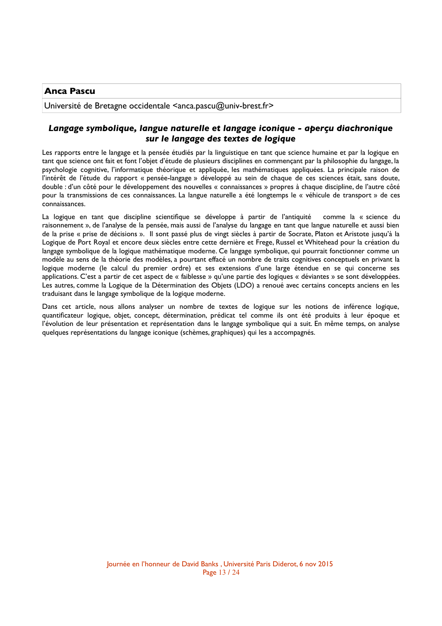## **Anca Pascu**

Université de Bretagne occidentale <anca.pascu@univ-brest.fr>

# *Langage symbolique, langue naturelle et langage iconique - aperçu diachronique sur le langage des textes de logique*

Les rapports entre le langage et la pensée étudiés par la linguistique en tant que science humaine et par la logique en tant que science ont fait et font l'objet d'étude de plusieurs disciplines en commençant par la philosophie du langage, la psychologie cognitive, l'informatique théorique et appliquée, les mathématiques appliquées. La principale raison de l'intérêt de l'étude du rapport « pensée-langage » développé au sein de chaque de ces sciences était, sans doute, double : d'un côté pour le développement des nouvelles « connaissances » propres à chaque discipline, de l'autre côté pour la transmissions de ces connaissances. La langue naturelle a été longtemps le « véhicule de transport » de ces connaissances.

La logique en tant que discipline scientifque se développe à partir de l'antiquité comme la « science du raisonnement », de l'analyse de la pensée, mais aussi de l'analyse du langage en tant que langue naturelle et aussi bien de la prise « prise de décisions ». Il sont passé plus de vingt siècles à partir de Socrate, Platon et Aristote jusqu'à la Logique de Port Royal et encore deux siècles entre cette dernière et Frege, Russel et Whitehead pour la création du langage symbolique de la logique mathématique moderne. Ce langage symbolique, qui pourrait fonctionner comme un modèle au sens de la théorie des modèles, a pourtant effacé un nombre de traits cognitives conceptuels en privant la logique moderne (le calcul du premier ordre) et ses extensions d'une large étendue en se qui concerne ses applications. C'est a partir de cet aspect de « faiblesse » qu'une partie des logiques « déviantes » se sont développées. Les autres, comme la Logique de la Détermination des Objets (LDO) a renoué avec certains concepts anciens en les traduisant dans le langage symbolique de la logique moderne.

Dans cet article, nous allons analyser un nombre de textes de logique sur les notions de inférence logique, quantifcateur logique, objet, concept, détermination, prédicat tel comme ils ont été produits à leur époque et l'évolution de leur présentation et représentation dans le langage symbolique qui a suit. En même temps, on analyse quelques représentations du langage iconique (schèmes, graphiques) qui les a accompagnés.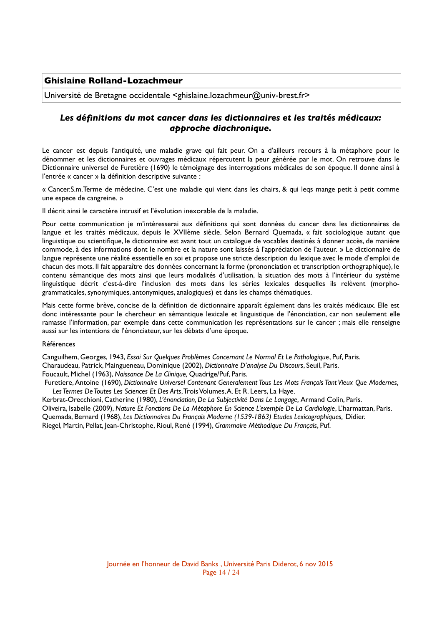## **Ghislaine Rolland-Lozachmeur**

Université de Bretagne occidentale <ghislaine.lozachmeur@univ-brest.fr>

# *Les défnitions du mot cancer dans les dictionnaires et les traités médicaux: approche diachronique.*

Le cancer est depuis l'antiquité, une maladie grave qui fait peur. On a d'ailleurs recours à la métaphore pour le dénommer et les dictionnaires et ouvrages médicaux répercutent la peur générée par le mot. On retrouve dans le Dictionnaire universel de Furetière (1690) le témoignage des interrogations médicales de son époque. Il donne ainsi à l'entrée « cancer » la défnition descriptive suivante :

« Cancer.S.m.Terme de médecine. C'est une maladie qui vient dans les chairs, & qui leqs mange petit à petit comme une espece de cangreine. »

Il décrit ainsi le caractère intrusif et l'évolution inexorable de la maladie.

Pour cette communication je m'intéresserai aux défnitions qui sont données du cancer dans les dictionnaires de langue et les traités médicaux, depuis le XVIIème siècle. Selon Bernard Quemada, « fait sociologique autant que linguistique ou scientifque, le dictionnaire est avant tout un catalogue de vocables destinés à donner accès, de manière commode, à des informations dont le nombre et la nature sont laissés à l'appréciation de l'auteur. » Le dictionnaire de langue représente une réalité essentielle en soi et propose une stricte description du lexique avec le mode d'emploi de chacun des mots. Il fait apparaître des données concernant la forme (prononciation et transcription orthographique), le contenu sémantique des mots ainsi que leurs modalités d'utilisation, la situation des mots à l'intérieur du système linguistique décrit c'est-à-dire l'inclusion des mots dans les séries lexicales desquelles ils relèvent (morphogrammaticales, synonymiques, antonymiques, analogiques) et dans les champs thématiques.

Mais cette forme brève, concise de la défnition de dictionnaire apparaît également dans les traités médicaux. Elle est donc intéressante pour le chercheur en sémantique lexicale et linguistique de l'énonciation, car non seulement elle ramasse l'information, par exemple dans cette communication les représentations sur le cancer ; mais elle renseigne aussi sur les intentions de l'énonciateur, sur les débats d'une époque.

#### Références

Canguilhem, Georges, 1943, *Essai Sur Quelques Problèmes Concernant Le Normal Et Le Pathologique*, Puf, Paris. Charaudeau, Patrick, Maingueneau, Dominique (2002), *Dictionnaire D'analyse Du Discours*, Seuil, Paris. Foucault, Michel (1963), *Naissance De La Clinique,* Quadrige/Puf, Paris.

Furetiere, Antoine (1690), *Dictionnaire Universel Contenant Generalement Tous Les Mots François Tant Vieux Que Modernes, Les Termes De Toutes Les Sciences Et Des Arts*, Trois Volumes, A. Et R. Leers, La Haye.

Kerbrat-Orecchioni, Catherine (1980), *L'énonciation, De La Subjectivité Dans Le Langage,* Armand Colin, Paris. Oliveira, Isabelle (2009), *Nature Et Fonctions De La Métaphore En Science L'exemple De La Cardiologie*, L'harmattan, Paris. Quemada, Bernard (1968), *Les Dictionnaires Du Français Moderne (1539-1863) Etudes Lexicographiques,* Didier. Riegel, Martin, Pellat, Jean-Christophe, Rioul, René (1994), *Grammaire Méthodique Du Français*, Puf.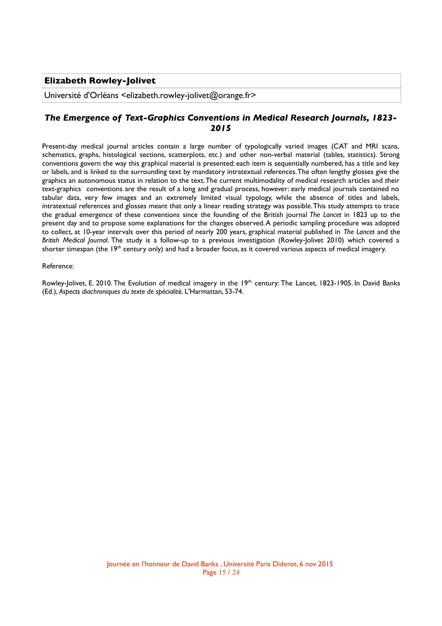# **Elizabeth Rowley-Jolivet**

Université d'Orléans <elizabeth.rowley-jolivet@orange.fr>

# *The Emergence of Text-Graphics Conventions in Medical Research Journals, 1823- 2015*

Present-day medical journal articles contain a large number of typologically varied images (CAT and MRI scans, schematics, graphs, histological sections, scatterplots, etc.) and other non-verbal material (tables, statistics). Strong conventions govern the way this graphical material is presented: each item is sequentially numbered, has a title and key or labels, and is linked to the surrounding text by mandatory intratextual references. The often lengthy glosses give the graphics an autonomous status in relation to the text. The current multimodality of medical research articles and their text-graphics conventions are the result of a long and gradual process, however: early medical journals contained no tabular data, very few images and an extremely limited visual typology, while the absence of titles and labels, intratextual references and glosses meant that only a linear reading strategy was possible. This study attempts to trace the gradual emergence of these conventions since the founding of the British journal *The Lancet* in 1823 up to the present day and to propose some explanations for the changes observed. A periodic sampling procedure was adopted to collect, at 10-year intervals over this period of nearly 200 years, graphical material published in *The Lancet* and the *British Medical Journal*. The study is a follow-up to a previous investigation (Rowley-Jolivet 2010) which covered a shorter timespan (the 19<sup>th</sup> century only) and had a broader focus, as it covered various aspects of medical imagery.

#### Reference:

Rowley-Jolivet, E. 2010. The Evolution of medical imagery in the 19<sup>th</sup> century: The Lancet, 1823-1905. In David Banks (Ed.), *Aspects diachroniques du texte de spécialit*é. L'Harmattan, 53-74.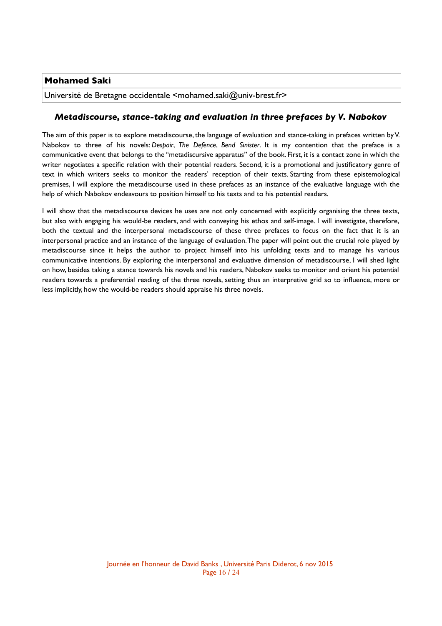# **Mohamed Saki**

Université de Bretagne occidentale <mohamed.saki@univ-brest.fr>

## *Metadiscourse, stance-taking and evaluation in three prefaces by V. Nabokov*

The aim of this paper is to explore metadiscourse, the language of evaluation and stance-taking in prefaces written by V. Nabokov to three of his novels: *Despair*, *The Defence*, *Bend Sinister*. It is my contention that the preface is a communicative event that belongs to the "metadiscursive apparatus" of the book. First, it is a contact zone in which the writer negotiates a specifc relation with their potential readers. Second, it is a promotional and justifcatory genre of text in which writers seeks to monitor the readers' reception of their texts. Starting from these epistemological premises, I will explore the metadiscourse used in these prefaces as an instance of the evaluative language with the help of which Nabokov endeavours to position himself to his texts and to his potential readers.

I will show that the metadiscourse devices he uses are not only concerned with explicitly organising the three texts, but also with engaging his would-be readers, and with conveying his ethos and self-image. I will investigate, therefore, both the textual and the interpersonal metadiscourse of these three prefaces to focus on the fact that it is an interpersonal practice and an instance of the language of evaluation. The paper will point out the crucial role played by metadiscourse since it helps the author to project himself into his unfolding texts and to manage his various communicative intentions. By exploring the interpersonal and evaluative dimension of metadiscourse, I will shed light on how, besides taking a stance towards his novels and his readers, Nabokov seeks to monitor and orient his potential readers towards a preferential reading of the three novels, setting thus an interpretive grid so to infuence, more or less implicitly, how the would-be readers should appraise his three novels.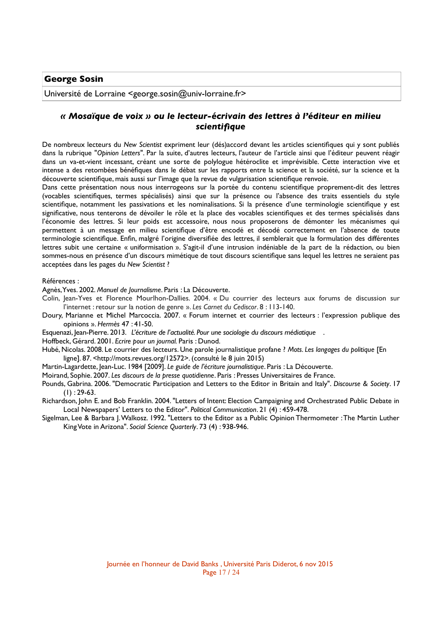### **George Sosin**

Université de Lorraine <george.sosin@univ-lorraine.fr>

# *« Mosaïque de voix » ou le lecteur-écrivain des lettres à l'éditeur en milieu scientifque*

De nombreux lecteurs du *New Scientist* expriment leur (dés)accord devant les articles scientifques qui y sont publiés dans la rubrique "*Opinion Letters*". Par la suite, d'autres lecteurs, l'auteur de l'article ainsi que l'éditeur peuvent réagir dans un va-et-vient incessant, créant une sorte de polylogue hétéroclite et imprévisible. Cette interaction vive et intense a des retombées bénéfques dans le débat sur les rapports entre la science et la société, sur la science et la découverte scientifque, mais aussi sur l'image que la revue de vulgarisation scientifque renvoie.

Dans cette présentation nous nous interrogeons sur la portée du contenu scientifque proprement-dit des lettres (vocables scientifques, termes spécialisés) ainsi que sur la présence ou l'absence des traits essentiels du style scientifque, notamment les passivations et les nominalisations. Si la présence d'une terminologie scientifque y est signifcative, nous tenterons de dévoiler le rôle et la place des vocables scientifques et des termes spécialisés dans l'économie des lettres. Si leur poids est accessoire, nous nous proposerons de démonter les mécanismes qui permettent à un message en milieu scientifque d'être encodé et décodé correctement en l'absence de toute terminologie scientifque. Enfn, malgré l'origine diversifée des lettres, il semblerait que la formulation des différentes lettres subit une certaine « uniformisation ». S'agit-il d'une intrusion indéniable de la part de la rédaction, ou bien sommes-nous en présence d'un discours mimétique de tout discours scientifque sans lequel les lettres ne seraient pas acceptées dans les pages du *New Scientist* ?

#### Références :

Agnès, Yves. 2002. *Manuel de Journalisme*. Paris : La Découverte.

- Colin, Jean-Yves et Florence Mourlhon-Dallies. 2004. « Du courrier des lecteurs aux forums de discussion sur l'internet : retour sur la notion de genre ». *Les Carnet du Cediscor*. 8 : 113-140.
- Doury, Marianne et Michel Marcoccia. 2007. « Forum internet et courrier des lecteurs : l'expression publique des opinions ». *Hermès* 47 : 41-50.
- Esquenazi, Jean-Pierre. 2013. *L'écriture de l'actualité. Pour une sociologie du discours médiatique* .
- Hoffbeck, Gérard. 2001. *Ecrire pour un journal.* Paris : Dunod.
- Hubé, Nicolas. 2008. Le courrier des lecteurs. Une parole journalistique profane ? *Mots. Les langages du politique* [En ligne]. 87. <http://mots.revues.org/12572>. (consulté le 8 juin 2015)
- Martin-Lagardette, Jean-Luc. 1984 [2009]. *Le guide de l'écriture journalistique*. Paris : La Découverte.
- Moirand, Sophie. 2007. *Les discours de la presse quotidienne*. Paris : Presses Universitaires de France.
- Pounds, Gabrina. 2006. "Democratic Participation and Letters to the Editor in Britain and Italy". *Discourse & Society*. 17  $(I)$ : 29-63.
- Richardson, John E. and Bob Franklin. 2004. "Letters of Intent: Election Campaigning and Orchestrated Public Debate in Local Newspapers' Letters to the Editor". *Political Communication*. 21 (4) : 459-478.
- Sigelman, Lee & Barbara J. Walkosz. 1992. "Letters to the Editor as a Public Opinion Thermometer : The Martin Luther King Vote in Arizona". *Social Science Quarterly*. 73 (4) : 938-946.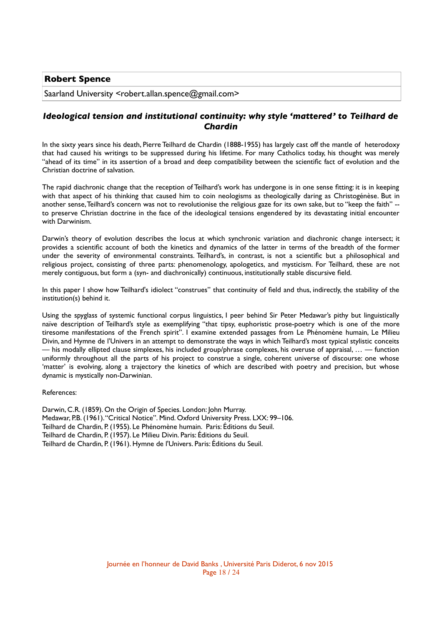## **Robert Spence**

Saarland University <robert.allan.spence@gmail.com>

## *Ideological tension and institutional continuity: why style 'mattered' to Teilhard de Chardin*

In the sixty years since his death, Pierre Teilhard de Chardin (1888-1955) has largely cast off the mantle of heterodoxy that had caused his writings to be suppressed during his lifetime. For many Catholics today, his thought was merely "ahead of its time" in its assertion of a broad and deep compatibility between the scientifc fact of evolution and the Christian doctrine of salvation.

The rapid diachronic change that the reception of Teilhard's work has undergone is in one sense ftting: it is in keeping with that aspect of his thinking that caused him to coin neologisms as theologically daring as Christogénèse. But in another sense, Teilhard's concern was not to revolutionise the religious gaze for its own sake, but to "keep the faith" - to preserve Christian doctrine in the face of the ideological tensions engendered by its devastating initial encounter with Darwinism.

Darwin's theory of evolution describes the locus at which synchronic variation and diachronic change intersect; it provides a scientifc account of both the kinetics and dynamics of the latter in terms of the breadth of the former under the severity of environmental constraints. Teilhard's, in contrast, is not a scientifc but a philosophical and religious project, consisting of three parts: phenomenology, apologetics, and mysticism. For Teilhard, these are not merely contiguous, but form a (syn- and diachronically) continuous, institutionally stable discursive feld.

In this paper I show how Teilhard's idiolect "construes" that continuity of field and thus, indirectly, the stability of the institution(s) behind it.

Using the spyglass of systemic functional corpus linguistics, I peer behind Sir Peter Medawar's pithy but linguistically naïve description of Teilhard's style as exemplifying "that tipsy, euphoristic prose-poetry which is one of the more tiresome manifestations of the French spirit". I examine extended passages from Le Phénomène humain, Le Milieu Divin, and Hymne de l'Univers in an attempt to demonstrate the ways in which Teilhard's most typical stylistic conceits — his modally ellipted clause simplexes, his included group/phrase complexes, his overuse of appraisal,  $\ldots$  — function uniformly throughout all the parts of his project to construe a single, coherent universe of discourse: one whose 'matter' is evolving, along a trajectory the kinetics of which are described with poetry and precision, but whose dynamic is mystically non-Darwinian.

References:

Darwin, C.R. (1859). On the Origin of Species. London: John Murray. Medawar, P.B. (1961). "Critical Notice". Mind. Oxford University Press. LXX: 99–106. Teilhard de Chardin, P. (1955). Le Phénomène humain. Paris: Éditions du Seuil. Teilhard de Chardin, P. (1957). Le Milieu Divin. Paris: Éditions du Seuil. Teilhard de Chardin, P. (1961). Hymne de l'Univers. Paris: Éditions du Seuil.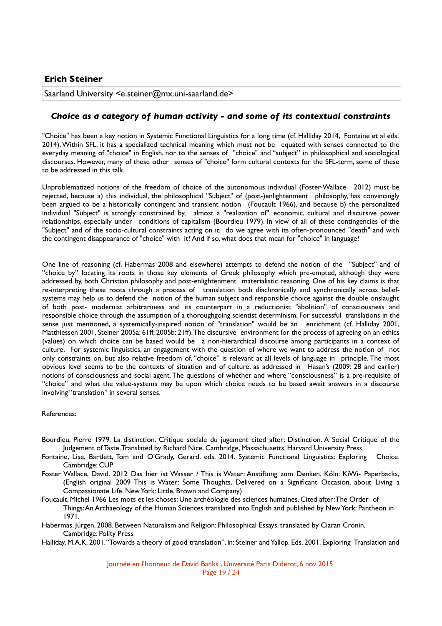Saarland University <e.steiner@mx.uni-saarland.de>

### *Choice as a category of human activity - and some of its contextual constraints*

"Choice" has been a key notion in Systemic Functional Linguistics for a long time (cf. Halliday 2014, Fontaine et al eds. 2014). Within SFL, it has a specialized technical meaning which must not be equated with senses connected to the everyday meaning of "choice" in English, nor to the senses of "choice" and "subject" in philosophical and sociological discourses. However, many of these other senses of "choice" form cultural contexts for the SFL-term, some of these to be addressed in this talk.

Unproblematized notions of the freedom of choice of the autonomous individual (Foster-Wallace 2012) must be rejected, because a) this individual, the philosophical "Subject" of (post-)enlightenment philosophy, has convincingly been argued to be a historically contingent and transient notion (Foucault 1966), and because b) the personalized individual "Subject" is strongly constrained by, almost a "realization of", economic, cultural and discursive power relationships, especially under conditions of capitalism (Bourdieu 1979). In view of all of these contingencies of the "Subject" and of the socio-cultural constraints acting on it, do we agree with its often-pronounced "death" and with the contingent disappearance of "choice" with it? And if so, what does that mean for "choice" in language?

One line of reasoning (cf. Habermas 2008 and elsewhere) attempts to defend the notion of the "Subject" and of "choice by" locating its roots in those key elements of Greek philosophy which pre-empted, although they were addressed by, both Christian philosophy and post-enlightenment materialistic reasoning. One of his key claims is that re-interpreting these roots through a process of translation both diachronically and synchronically across beliefsystems may help us to defend the notion of the human subject and responsible choice against the double onslaught of both post- modernist arbitrariness and its counterpart in a reductionist "abolition" of consciousness and responsible choice through the assumption of a thoroughgoing scientist determinism. For successful translations in the sense just mentioned, a systemically-inspired notion of "translation" would be an enrichment (cf. Halliday 2001, Matthiessen 2001, Steiner 2005a: 61ff; 2005b: 21ff). The discursive environment for the process of agreeing on an ethics (values) on which choice can be based would be a non-hierarchical discourse among participants in a context of culture. For systemic linguistics, an engagement with the question of where we want to address the notion of not only constraints on, but also relative freedom of, "choice" is relevant at all levels of language in principle. The most obvious level seems to be the contexts of situation and of culture, as addressed in Hasan's (2009: 28 and earlier) notions of consciousness and social agent. The questions of whether and where "consciousness" is a pre-requisite of "choice" and what the value-systems may be upon which choice needs to be based await answers in a discourse involving "translation" in several senses.

References:

- Bourdieu, Pierre 1979. La distinction. Critique sociale du jugement cited after: Distinction. A Social Critique of the Judgement of Taste. Translated by Richard Nice. Cambridge, Massachusetts. Harvard University Press
- Fontaine, Lise, Bartlett, Tom and O'Grady, Gerard. eds. 2014. Systemic Functional Linguistics: Exploring Choice. Cambridge: CUP
- Foster Wallace, David. 2012 Das hier ist Wasser / This is Water: Anstiftung zum Denken. Köln: KiWi- Paperbacks, (English original 2009 This is Water: Some Thoughts, Delivered on a Signifcant Occasion, about Living a Compassionate Life. New York: Little, Brown and Company)
- Foucault, Michel 1966 Les mots et les choses: Une archéologie des sciences humaines. Cited after: The Order of Things: An Archaeology of the Human Sciences translated into English and published by New York: Pantheon in 1971.

Habermas, Jürgen. 2008. Between Naturalism and Religion: Philosophical Essays, translated by Ciaran Cronin. Cambridge: Polity Press

Halliday, M.A.K. 2001. "Towards a theory of good translation", in: Steiner and Yallop. Eds. 2001. Exploring Translation and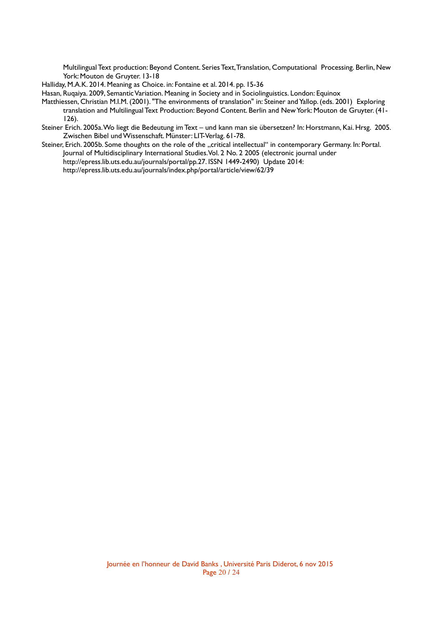Multilingual Text production: Beyond Content. Series Text, Translation, Computational Processing. Berlin, New York: Mouton de Gruyter. 13-18

Halliday, M.A.K. 2014. Meaning as Choice. in: Fontaine et al. 2014. pp. 15-36

Hasan, Ruqaiya. 2009, Semantic Variation. Meaning in Society and in Sociolinguistics. London: Equinox

- Matthiessen, Christian M.I.M. (2001). "The environments of translation" in: Steiner and Yallop. (eds. 2001) Exploring translation and Multilingual Text Production: Beyond Content. Berlin and New York: Mouton de Gruyter. (41- 126).
- Steiner Erich. 2005a. Wo liegt die Bedeutung im Text und kann man sie übersetzen? In: Horstmann, Kai. Hrsg. 2005. Zwischen Bibel und Wissenschaft. Münster: LIT-Verlag. 61-78.
- Steiner, Erich. 2005b. Some thoughts on the role of the "critical intellectual" in contemporary Germany. In: Portal. Journal of Multidisciplinary International Studies. Vol. 2 No. 2 2005 (electronic journal under http://epress.lib.uts.edu.au/journals/portal/pp.27. ISSN 1449-2490) Update 2014: http://epress.lib.uts.edu.au/journals/index.php/portal/article/view/62/39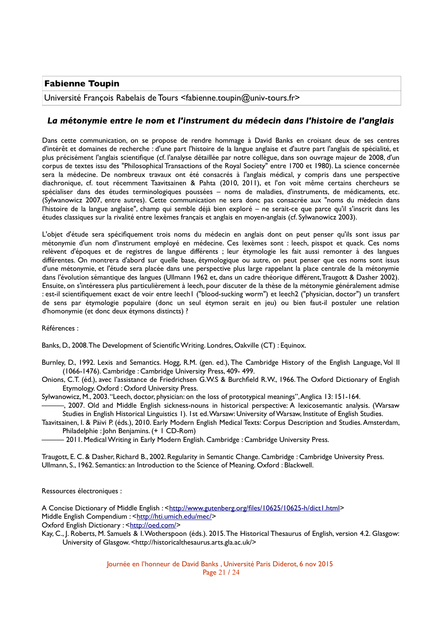# **Fabienne Toupin**

Université François Rabelais de Tours <fabienne.toupin@univ-tours.fr>

## *La métonymie entre le nom et l'instrument du médecin dans l'histoire de l'anglais*

Dans cette communication, on se propose de rendre hommage à David Banks en croisant deux de ses centres d'intérêt et domaines de recherche : d'une part l'histoire de la langue anglaise et d'autre part l'anglais de spécialité, et plus précisément l'anglais scientifque (cf. l'analyse détaillée par notre collègue, dans son ouvrage majeur de 2008, d'un corpus de textes issu des "Philosophical Transactions of the Royal Society" entre 1700 et 1980). La science concernée sera la médecine. De nombreux travaux ont été consacrés à l'anglais médical, y compris dans une perspective diachronique, cf. tout récemment Taavitsainen & Pahta (2010, 2011), et l'on voit même certains chercheurs se spécialiser dans des études terminologiques poussées – noms de maladies, d'instruments, de médicaments, etc. (Sylwanowicz 2007, entre autres). Cette communication ne sera donc pas consacrée aux "noms du médecin dans l'histoire de la langue anglaise", champ qui semble déjà bien exploré – ne serait-ce que parce qu'il s'inscrit dans les études classiques sur la rivalité entre lexèmes français et anglais en moyen-anglais (cf. Sylwanowicz 2003).

L'objet d'étude sera spécifquement trois noms du médecin en anglais dont on peut penser qu'ils sont issus par métonymie d'un nom d'instrument employé en médecine. Ces lexèmes sont : leech, pisspot et quack. Ces noms relèvent d'époques et de registres de langue différents ; leur étymologie les fait aussi remonter à des langues différentes. On montrera d'abord sur quelle base, étymologique ou autre, on peut penser que ces noms sont issus d'une métonymie, et l'étude sera placée dans une perspective plus large rappelant la place centrale de la métonymie dans l'évolution sémantique des langues (Ullmann 1962 et, dans un cadre théorique différent, Traugott & Dasher 2002). Ensuite, on s'intéressera plus particulièrement à leech, pour discuter de la thèse de la métonymie généralement admise : est-il scientifquement exact de voir entre leech1 ("blood-sucking worm") et leech2 ("physician, doctor") un transfert de sens par étymologie populaire (donc un seul étymon serait en jeu) ou bien faut-il postuler une relation d'homonymie (et donc deux étymons distincts) ?

Références :

Banks, D., 2008. The Development of Scientifc Writing. Londres, Oakville (CT) : Equinox.

Burnley, D., 1992. Lexis and Semantics. Hogg, R.M. (gen. ed.), The Cambridge History of the English Language, Vol II (1066-1476). Cambridge : Cambridge University Press, 409- 499.

Onions, C.T. (éd.), avec l'assistance de Friedrichsen G.W.S & Burchfeld R.W., 1966. The Oxford Dictionary of English Etymology. Oxford : Oxford University Press.

Sylwanowicz, M., 2003. "Leech, doctor, physician: on the loss of prototypical meanings", Anglica 13: 151-164.

———, 2007. Old and Middle English sickness-nouns in historical perspective: A lexicosemantic analysis. (Warsaw Studies in English Historical Linguistics 1). 1st ed. Warsaw: University of Warsaw, Institute of English Studies.

Taavitsainen, I. & Päivi P. (éds.), 2010. Early Modern English Medical Texts: Corpus Description and Studies. Amsterdam, Philadelphie : John Benjamins. (+ 1 CD-Rom)

- 2011. Medical Writing in Early Modern English. Cambridge : Cambridge University Press.

Traugott, E. C. & Dasher, Richard B., 2002. Regularity in Semantic Change. Cambridge : Cambridge University Press. Ullmann, S., 1962. Semantics: an Introduction to the Science of Meaning. Oxford : Blackwell.

Ressources électroniques :

A Concise Dictionary of Middle English : < http://www.gutenberg.org/files/10625/10625-h/dict1.html> Middle English Compendium : < http://hti.umich.edu/mec/>

Oxford English Dictionary : < http://oed.com/>

Kay, C., J. Roberts, M. Samuels & I. Wotherspoon (éds.). 2015. The Historical Thesaurus of English, version 4.2. Glasgow: University of Glasgow. <http://historicalthesaurus.arts.gla.ac.uk/>

> Journée en l'honneur de David Banks , Université Paris Diderot, 6 nov 2015 Page 21 / 24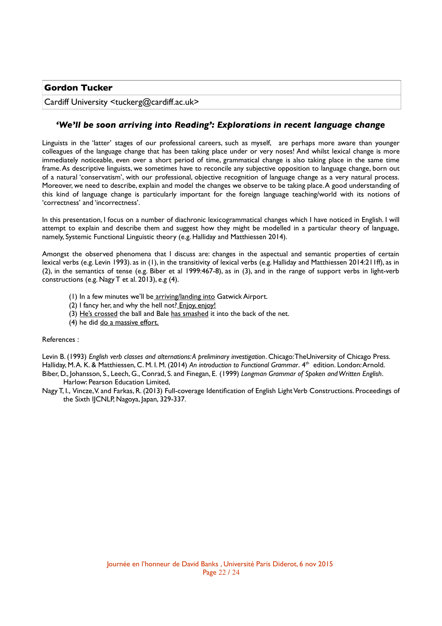### **Gordon Tucker**

Cardiff University <tuckerg@cardiff.ac.uk>

# *'We'll be soon arriving into Reading': Explorations in recent language change*

Linguists in the 'latter' stages of our professional careers, such as myself, are perhaps more aware than younger colleagues of the language change that has been taking place under or very noses! And whilst lexical change is more immediately noticeable, even over a short period of time, grammatical change is also taking place in the same time frame. As descriptive linguists, we sometimes have to reconcile any subjective opposition to language change, born out of a natural 'conservatism', with our professional, objective recognition of language change as a very natural process. Moreover, we need to describe, explain and model the changes we observe to be taking place. A good understanding of this kind of language change is particularly important for the foreign language teaching/world with its notions of 'correctness' and 'incorrectness'.

In this presentation, I focus on a number of diachronic lexicogrammatical changes which I have noticed in English. I will attempt to explain and describe them and suggest how they might be modelled in a particular theory of language, namely, Systemic Functional Linguistic theory (e.g. Halliday and Matthiessen 2014).

Amongst the observed phenomena that I discuss are: changes in the aspectual and semantic properties of certain lexical verbs (e.g. Levin 1993). as in (1), in the transitivity of lexical verbs (e.g. Halliday and Matthiessen 2014:211ff), as in (2), in the semantics of tense (e.g. Biber et al 1999:467-8), as in (3), and in the range of support verbs in light-verb constructions (e.g. Nagy T et al. 2013), e.g (4).

- (1) In a few minutes we'll be arriving/landing into Gatwick Airport.
- (2) I fancy her, and why the hell not? Enjoy, enjoy!
- (3) He's crossed the ball and Bale has smashed it into the back of the net.
- (4) he did do a massive effort.

#### References :

Levin B. (1993) *English verb classes and alternations: A preliminary investigation*. Chicago: TheUniversity of Chicago Press. Halliday, M. A. K. & Matthiessen, C. M. I. M. (2014) *An introduction to Functional Grammar*. 4 th edition. London: Arnold. Biber, D., Johansson, S., Leech, G., Conrad, S. and Finegan, E. (1999) *Longman Grammar of Spoken and Written English*. Harlow: Pearson Education Limited,

Nagy T, I., Vincze, V. and Farkas, R. (2013) Full-coverage Identifcation of English Light Verb Constructions. Proceedings of the Sixth IJCNLP, Nagoya, Japan, 329-337.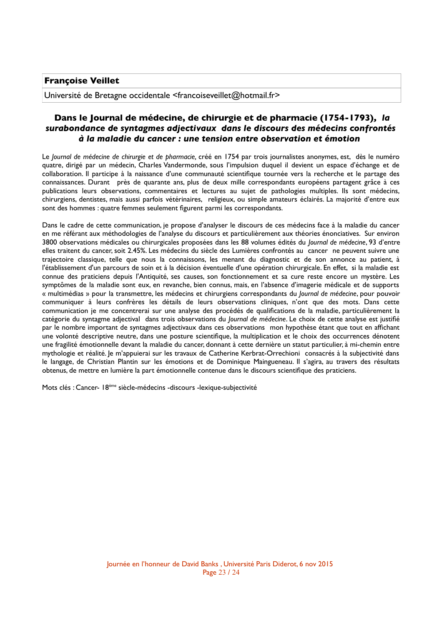## **Françoise Veillet**

Université de Bretagne occidentale <francoiseveillet@hotmail.fr>

# **Dans le Journal de médecine, de chirurgie et de pharmacie (1754-1793)***, la surabondance de syntagmes adjectivaux dans le discours des médecins confrontés à la maladie du cancer : une tension entre observation et émotion*

Le *Journal de médecine de chirurgie et de pharmacie*, créé en 1754 par trois journalistes anonymes, est, dès le numéro quatre, dirigé par un médecin, Charles Vandermonde, sous l'impulsion duquel il devient un espace d'échange et de collaboration. Il participe à la naissance d'une communauté scientifque tournée vers la recherche et le partage des connaissances. Durant près de quarante ans, plus de deux mille correspondants européens partagent grâce à ces publications leurs observations, commentaires et lectures au sujet de pathologies multiples. Ils sont médecins, chirurgiens, dentistes, mais aussi parfois vétérinaires, religieux, ou simple amateurs éclairés. La majorité d'entre eux sont des hommes : quatre femmes seulement fgurent parmi les correspondants.

Dans le cadre de cette communication, je propose d'analyser le discours de ces médecins face à la maladie du cancer en me référant aux méthodologies de l'analyse du discours et particulièrement aux théories énonciatives. Sur environ 3800 observations médicales ou chirurgicales proposées dans les 88 volumes édités du *Journal de médecine*, 93 d'entre elles traitent du cancer, soit 2.45%. Les médecins du siècle des Lumières confrontés au cancer ne peuvent suivre une trajectoire classique, telle que nous la connaissons, les menant du diagnostic et de son annonce au patient, à l'établissement d'un parcours de soin et à la décision éventuelle d'une opération chirurgicale. En effet, si la maladie est connue des praticiens depuis l'Antiquité, ses causes, son fonctionnement et sa cure reste encore un mystère. Les symptômes de la maladie sont eux, en revanche, bien connus, mais, en l'absence d'imagerie médicale et de supports « multimédias » pour la transmettre, les médecins et chirurgiens correspondants du *Journal de médecine*, pour pouvoir communiquer à leurs confrères les détails de leurs observations cliniques, n'ont que des mots. Dans cette communication je me concentrerai sur une analyse des procédés de qualifcations de la maladie, particulièrement la catégorie du syntagme adjectival dans trois observations du *Journal de médecine*. Le choix de cette analyse est justifé par le nombre important de syntagmes adjectivaux dans ces observations mon hypothèse étant que tout en affchant une volonté descriptive neutre, dans une posture scientifque, la multiplication et le choix des occurrences dénotent une fragilité émotionnelle devant la maladie du cancer, donnant à cette dernière un statut particulier, à mi-chemin entre mythologie et réalité. Je m'appuierai sur les travaux de Catherine Kerbrat-Orrechioni consacrés à la subjectivité dans le langage, de Christian Plantin sur les émotions et de Dominique Maingueneau. Il s'agira, au travers des résultats obtenus, de mettre en lumière la part émotionnelle contenue dans le discours scientifque des praticiens.

Mots clés : Cancer- 18ème siècle-médecins -discours -lexique-subjectivité